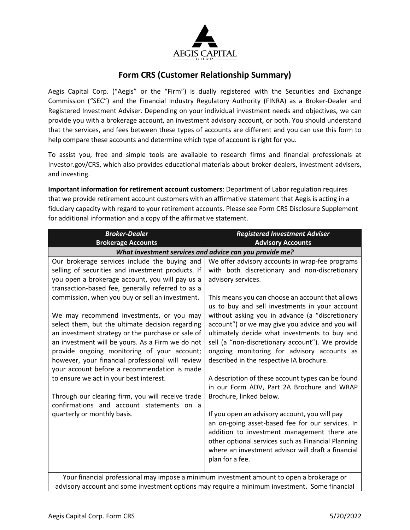

## **Form CRS (Customer Relationship Summary)**

Aegis Capital Corp. ("Aegis" or the "Firm") is dually registered with the Securities and Exchange Commission ("SEC") and the Financial Industry Regulatory Authority (FINRA) as a Broker-Dealer and Registered Investment Adviser. Depending on your individual investment needs and objectives, we can provide you with a brokerage account, an investment advisory account, or both. You should understand that the services, and fees between these types of accounts are different and you can use this form to help compare these accounts and determine which type of account is right for you.

To assist you, free and simple tools are available to research firms and financial professionals at Investor.gov/CRS, which also provides educational materials about broker-dealers, investment advisers, and investing.

**Important information for retirement account customers**: Department of Labor regulation requires that we provide retirement account customers with an affirmative statement that Aegis is acting in a fiduciary capacity with regard to your retirement accounts. Please see Form CRS Disclosure Supplement for additional information and a copy of the affirmative statement.

| <b>Broker-Dealer</b>                                                                             | <b>Registered Investment Adviser</b>                                                    |  |
|--------------------------------------------------------------------------------------------------|-----------------------------------------------------------------------------------------|--|
| <b>Brokerage Accounts</b>                                                                        | <b>Advisory Accounts</b>                                                                |  |
| What investment services and advice can you provide me?                                          |                                                                                         |  |
| Our brokerage services include the buying and                                                    | We offer advisory accounts in wrap-fee programs                                         |  |
| selling of securities and investment products. If                                                | with both discretionary and non-discretionary                                           |  |
| you open a brokerage account, you will pay us a                                                  | advisory services.                                                                      |  |
| transaction-based fee, generally referred to as a                                                |                                                                                         |  |
| commission, when you buy or sell an investment.                                                  | This means you can choose an account that allows                                        |  |
|                                                                                                  | us to buy and sell investments in your account                                          |  |
| We may recommend investments, or you may                                                         | without asking you in advance (a "discretionary                                         |  |
| select them, but the ultimate decision regarding                                                 | account") or we may give you advice and you will                                        |  |
| an investment strategy or the purchase or sale of                                                | ultimately decide what investments to buy and                                           |  |
| an investment will be yours. As a Firm we do not                                                 | sell (a "non-discretionary account"). We provide                                        |  |
| provide ongoing monitoring of your account;                                                      | ongoing monitoring for advisory accounts as<br>described in the respective IA brochure. |  |
| however, your financial professional will review<br>your account before a recommendation is made |                                                                                         |  |
| to ensure we act in your best interest.                                                          | A description of these account types can be found                                       |  |
|                                                                                                  | in our Form ADV, Part 2A Brochure and WRAP                                              |  |
| Through our clearing firm, you will receive trade                                                | Brochure, linked below.                                                                 |  |
| confirmations and account statements on a                                                        |                                                                                         |  |
| quarterly or monthly basis.                                                                      | If you open an advisory account, you will pay                                           |  |
|                                                                                                  | an on-going asset-based fee for our services. In                                        |  |
|                                                                                                  | addition to investment management there are                                             |  |
|                                                                                                  | other optional services such as Financial Planning                                      |  |
|                                                                                                  | where an investment advisor will draft a financial                                      |  |
|                                                                                                  | plan for a fee.                                                                         |  |
|                                                                                                  |                                                                                         |  |
| Your financial professional may impose a minimum investment amount to open a brokerage or        |                                                                                         |  |

advisory account and some investment options may require a minimum investment. Some financial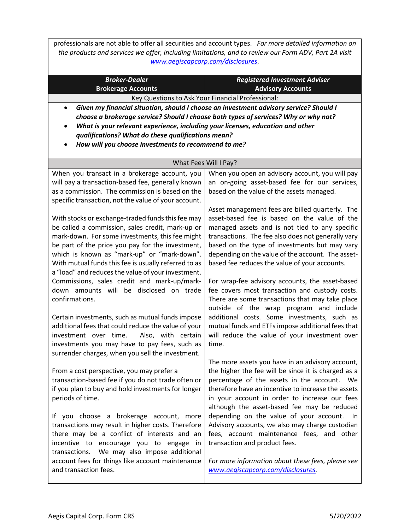professionals are not able to offer all securities and account types. *For more detailed information on the products and services we offer, including limitations, and to review our Form ADV, Part 2A visit [www.aegiscapcorp.com/disclosures.](http://www.aegiscapcorp.com/disclosures)*

| <b>Broker-Dealer</b><br><b>Brokerage Accounts</b>                                                                                                                                                                                                                                                                                                                                                   | <b>Registered Investment Adviser</b><br><b>Advisory Accounts</b>                                                                                                                                                                                                                                                                                               |  |
|-----------------------------------------------------------------------------------------------------------------------------------------------------------------------------------------------------------------------------------------------------------------------------------------------------------------------------------------------------------------------------------------------------|----------------------------------------------------------------------------------------------------------------------------------------------------------------------------------------------------------------------------------------------------------------------------------------------------------------------------------------------------------------|--|
| Key Questions to Ask Your Financial Professional:                                                                                                                                                                                                                                                                                                                                                   |                                                                                                                                                                                                                                                                                                                                                                |  |
| Given my financial situation, should I choose an investment advisory service? Should I<br>$\bullet$<br>choose a brokerage service? Should I choose both types of services? Why or why not?<br>What is your relevant experience, including your licenses, education and other<br>٠<br>qualifications? What do these qualifications mean?<br>How will you choose investments to recommend to me?<br>٠ |                                                                                                                                                                                                                                                                                                                                                                |  |
|                                                                                                                                                                                                                                                                                                                                                                                                     | What Fees Will I Pay?                                                                                                                                                                                                                                                                                                                                          |  |
| When you transact in a brokerage account, you<br>will pay a transaction-based fee, generally known<br>as a commission. The commission is based on the<br>specific transaction, not the value of your account.                                                                                                                                                                                       | When you open an advisory account, you will pay<br>an on-going asset-based fee for our services,<br>based on the value of the assets managed.                                                                                                                                                                                                                  |  |
| With stocks or exchange-traded funds this fee may<br>be called a commission, sales credit, mark-up or<br>mark-down. For some investments, this fee might<br>be part of the price you pay for the investment,<br>which is known as "mark-up" or "mark-down".<br>With mutual funds this fee is usually referred to as<br>a "load" and reduces the value of your investment.                           | Asset management fees are billed quarterly. The<br>asset-based fee is based on the value of the<br>managed assets and is not tied to any specific<br>transactions. The fee also does not generally vary<br>based on the type of investments but may vary<br>depending on the value of the account. The asset-<br>based fee reduces the value of your accounts. |  |
| Commissions, sales credit and mark-up/mark-<br>down amounts will be disclosed on trade<br>confirmations.<br>Certain investments, such as mutual funds impose<br>additional fees that could reduce the value of your                                                                                                                                                                                 | For wrap-fee advisory accounts, the asset-based<br>fee covers most transaction and custody costs.<br>There are some transactions that may take place<br>outside of the wrap program and include<br>additional costs. Some investments, such as<br>mutual funds and ETFs impose additional fees that                                                            |  |
| Also, with certain<br>investment over time.<br>investments you may have to pay fees, such as<br>surrender charges, when you sell the investment.                                                                                                                                                                                                                                                    | will reduce the value of your investment over<br>time.<br>The more assets you have in an advisory account,                                                                                                                                                                                                                                                     |  |
| From a cost perspective, you may prefer a<br>transaction-based fee if you do not trade often or<br>if you plan to buy and hold investments for longer<br>periods of time.                                                                                                                                                                                                                           | the higher the fee will be since it is charged as a<br>percentage of the assets in the account. We<br>therefore have an incentive to increase the assets<br>in your account in order to increase our fees<br>although the asset-based fee may be reduced                                                                                                       |  |
| If you choose a brokerage account, more<br>transactions may result in higher costs. Therefore<br>there may be a conflict of interests and an<br>incentive to encourage you to engage in<br>transactions. We may also impose additional                                                                                                                                                              | depending on the value of your account.<br>ln In<br>Advisory accounts, we also may charge custodian<br>fees, account maintenance fees, and other<br>transaction and product fees.                                                                                                                                                                              |  |
| account fees for things like account maintenance<br>and transaction fees.                                                                                                                                                                                                                                                                                                                           | For more information about these fees, please see<br>www.aegiscapcorp.com/disclosures.                                                                                                                                                                                                                                                                         |  |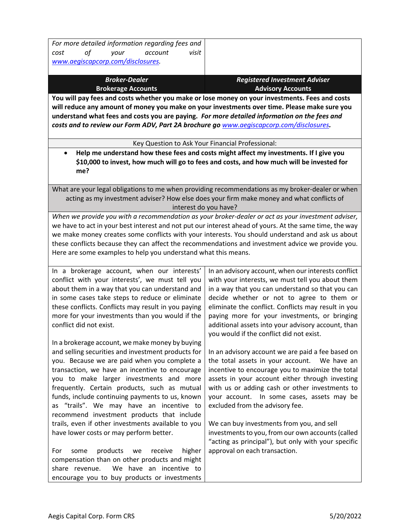| For more detailed information regarding fees and                                                      |                                                                                                         |
|-------------------------------------------------------------------------------------------------------|---------------------------------------------------------------------------------------------------------|
| οf<br>account<br>visit<br>cost<br>your                                                                |                                                                                                         |
| www.aegiscapcorp.com/disclosures.                                                                     |                                                                                                         |
| <b>Broker-Dealer</b>                                                                                  | <b>Registered Investment Adviser</b>                                                                    |
| <b>Brokerage Accounts</b>                                                                             | <b>Advisory Accounts</b>                                                                                |
| You will pay fees and costs whether you make or lose money on your investments. Fees and costs        |                                                                                                         |
| will reduce any amount of money you make on your investments over time. Please make sure you          |                                                                                                         |
| understand what fees and costs you are paying. For more detailed information on the fees and          |                                                                                                         |
| costs and to review our Form ADV, Part 2A brochure go www.aegiscapcorp.com/disclosures.               |                                                                                                         |
|                                                                                                       |                                                                                                         |
| Key Question to Ask Your Financial Professional:                                                      |                                                                                                         |
|                                                                                                       | Help me understand how these fees and costs might affect my investments. If I give you                  |
|                                                                                                       | \$10,000 to invest, how much will go to fees and costs, and how much will be invested for               |
| me?                                                                                                   |                                                                                                         |
|                                                                                                       | What are your legal obligations to me when providing recommendations as my broker-dealer or when        |
|                                                                                                       | acting as my investment adviser? How else does your firm make money and what conflicts of               |
| interest do you have?                                                                                 |                                                                                                         |
|                                                                                                       | When we provide you with a recommendation as your broker-dealer or act as your investment adviser,      |
|                                                                                                       | we have to act in your best interest and not put our interest ahead of yours. At the same time, the way |
|                                                                                                       | we make money creates some conflicts with your interests. You should understand and ask us about        |
| these conflicts because they can affect the recommendations and investment advice we provide you.     |                                                                                                         |
| Here are some examples to help you understand what this means.                                        |                                                                                                         |
|                                                                                                       |                                                                                                         |
| In a brokerage account, when our interests'                                                           | In an advisory account, when our interests conflict                                                     |
| conflict with your interests', we must tell you                                                       | with your interests, we must tell you about them                                                        |
| about them in a way that you can understand and                                                       | in a way that you can understand so that you can                                                        |
| in some cases take steps to reduce or eliminate                                                       | decide whether or not to agree to them or                                                               |
| these conflicts. Conflicts may result in you paying                                                   | eliminate the conflict. Conflicts may result in you                                                     |
| more for your investments than you would if the                                                       | paying more for your investments, or bringing                                                           |
| conflict did not exist.                                                                               | additional assets into your advisory account, than                                                      |
|                                                                                                       | you would if the conflict did not exist.                                                                |
| In a brokerage account, we make money by buying<br>and selling securities and investment products for | In an advisory account we are paid a fee based on                                                       |
| you. Because we are paid when you complete a                                                          | the total assets in your account.<br>We have an                                                         |
| transaction, we have an incentive to encourage                                                        | incentive to encourage you to maximize the total                                                        |
| you to make larger investments and more                                                               | assets in your account either through investing                                                         |
| frequently. Certain products, such as mutual                                                          | with us or adding cash or other investments to                                                          |
| funds, include continuing payments to us, known                                                       | your account. In some cases, assets may be                                                              |
| as "trails". We may have an incentive to                                                              | excluded from the advisory fee.                                                                         |
| recommend investment products that include                                                            |                                                                                                         |
| trails, even if other investments available to you                                                    | We can buy investments from you, and sell                                                               |
| have lower costs or may perform better.                                                               | investments to you, from our own accounts (called                                                       |
|                                                                                                       | "acting as principal"), but only with your specific                                                     |
| products<br>receive<br>higher<br>For<br>some<br>we                                                    | approval on each transaction.                                                                           |
| compensation than on other products and might                                                         |                                                                                                         |
| We have an incentive to<br>share revenue.                                                             |                                                                                                         |
| encourage you to buy products or investments                                                          |                                                                                                         |